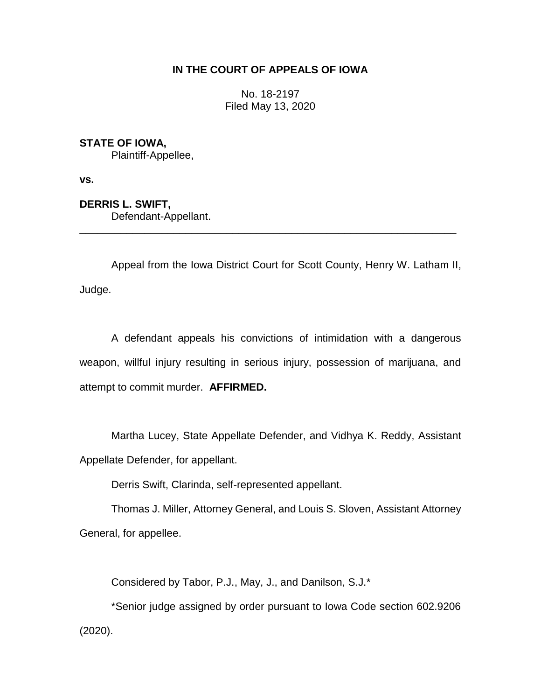# **IN THE COURT OF APPEALS OF IOWA**

No. 18-2197 Filed May 13, 2020

**STATE OF IOWA,**

Plaintiff-Appellee,

**vs.**

**DERRIS L. SWIFT,** Defendant-Appellant.

Appeal from the Iowa District Court for Scott County, Henry W. Latham II, Judge.

\_\_\_\_\_\_\_\_\_\_\_\_\_\_\_\_\_\_\_\_\_\_\_\_\_\_\_\_\_\_\_\_\_\_\_\_\_\_\_\_\_\_\_\_\_\_\_\_\_\_\_\_\_\_\_\_\_\_\_\_\_\_\_\_

A defendant appeals his convictions of intimidation with a dangerous weapon, willful injury resulting in serious injury, possession of marijuana, and attempt to commit murder. **AFFIRMED.**

Martha Lucey, State Appellate Defender, and Vidhya K. Reddy, Assistant Appellate Defender, for appellant.

Derris Swift, Clarinda, self-represented appellant.

Thomas J. Miller, Attorney General, and Louis S. Sloven, Assistant Attorney General, for appellee.

Considered by Tabor, P.J., May, J., and Danilson, S.J.\*

\*Senior judge assigned by order pursuant to Iowa Code section 602.9206 (2020).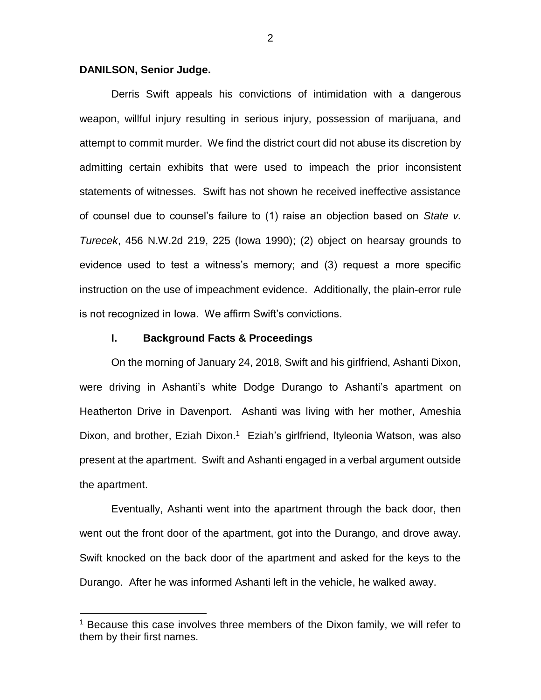### **DANILSON, Senior Judge.**

 $\overline{a}$ 

Derris Swift appeals his convictions of intimidation with a dangerous weapon, willful injury resulting in serious injury, possession of marijuana, and attempt to commit murder. We find the district court did not abuse its discretion by admitting certain exhibits that were used to impeach the prior inconsistent statements of witnesses. Swift has not shown he received ineffective assistance of counsel due to counsel's failure to (1) raise an objection based on *State v. Turecek*, 456 N.W.2d 219, 225 (Iowa 1990); (2) object on hearsay grounds to evidence used to test a witness's memory; and (3) request a more specific instruction on the use of impeachment evidence. Additionally, the plain-error rule is not recognized in Iowa. We affirm Swift's convictions.

### **I. Background Facts & Proceedings**

On the morning of January 24, 2018, Swift and his girlfriend, Ashanti Dixon, were driving in Ashanti's white Dodge Durango to Ashanti's apartment on Heatherton Drive in Davenport. Ashanti was living with her mother, Ameshia Dixon, and brother, Eziah Dixon.<sup>1</sup> Eziah's girlfriend, Ityleonia Watson, was also present at the apartment. Swift and Ashanti engaged in a verbal argument outside the apartment.

Eventually, Ashanti went into the apartment through the back door, then went out the front door of the apartment, got into the Durango, and drove away. Swift knocked on the back door of the apartment and asked for the keys to the Durango. After he was informed Ashanti left in the vehicle, he walked away.

 $1$  Because this case involves three members of the Dixon family, we will refer to them by their first names.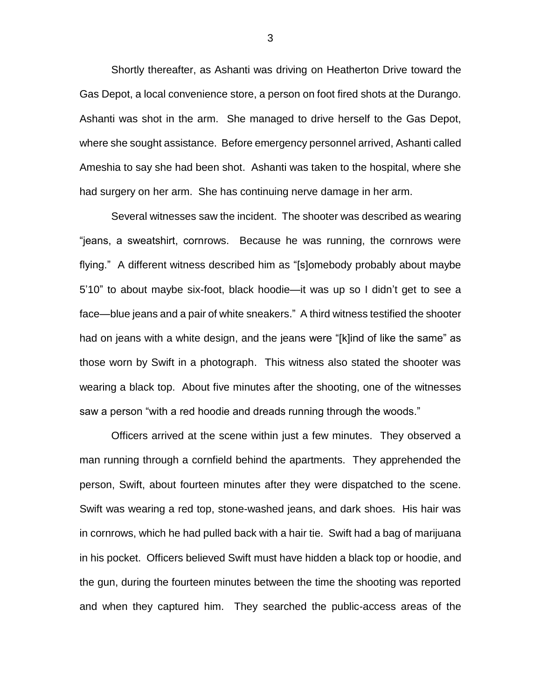Shortly thereafter, as Ashanti was driving on Heatherton Drive toward the Gas Depot, a local convenience store, a person on foot fired shots at the Durango. Ashanti was shot in the arm. She managed to drive herself to the Gas Depot, where she sought assistance. Before emergency personnel arrived, Ashanti called Ameshia to say she had been shot. Ashanti was taken to the hospital, where she had surgery on her arm. She has continuing nerve damage in her arm.

Several witnesses saw the incident. The shooter was described as wearing "jeans, a sweatshirt, cornrows. Because he was running, the cornrows were flying." A different witness described him as "[s]omebody probably about maybe 5'10" to about maybe six-foot, black hoodie—it was up so I didn't get to see a face—blue jeans and a pair of white sneakers." A third witness testified the shooter had on jeans with a white design, and the jeans were "[k]ind of like the same" as those worn by Swift in a photograph. This witness also stated the shooter was wearing a black top. About five minutes after the shooting, one of the witnesses saw a person "with a red hoodie and dreads running through the woods."

Officers arrived at the scene within just a few minutes. They observed a man running through a cornfield behind the apartments. They apprehended the person, Swift, about fourteen minutes after they were dispatched to the scene. Swift was wearing a red top, stone-washed jeans, and dark shoes. His hair was in cornrows, which he had pulled back with a hair tie. Swift had a bag of marijuana in his pocket. Officers believed Swift must have hidden a black top or hoodie, and the gun, during the fourteen minutes between the time the shooting was reported and when they captured him. They searched the public-access areas of the

3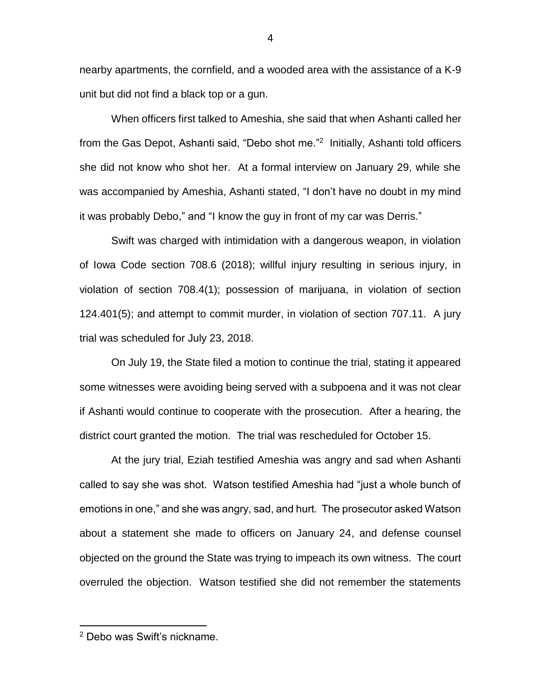nearby apartments, the cornfield, and a wooded area with the assistance of a K-9 unit but did not find a black top or a gun.

When officers first talked to Ameshia, she said that when Ashanti called her from the Gas Depot, Ashanti said, "Debo shot me."<sup>2</sup> Initially, Ashanti told officers she did not know who shot her. At a formal interview on January 29, while she was accompanied by Ameshia, Ashanti stated, "I don't have no doubt in my mind it was probably Debo," and "I know the guy in front of my car was Derris."

Swift was charged with intimidation with a dangerous weapon, in violation of Iowa Code section 708.6 (2018); willful injury resulting in serious injury, in violation of section 708.4(1); possession of marijuana, in violation of section 124.401(5); and attempt to commit murder, in violation of section 707.11. A jury trial was scheduled for July 23, 2018.

On July 19, the State filed a motion to continue the trial, stating it appeared some witnesses were avoiding being served with a subpoena and it was not clear if Ashanti would continue to cooperate with the prosecution. After a hearing, the district court granted the motion. The trial was rescheduled for October 15.

At the jury trial, Eziah testified Ameshia was angry and sad when Ashanti called to say she was shot. Watson testified Ameshia had "just a whole bunch of emotions in one," and she was angry, sad, and hurt. The prosecutor asked Watson about a statement she made to officers on January 24, and defense counsel objected on the ground the State was trying to impeach its own witness. The court overruled the objection. Watson testified she did not remember the statements

 $\overline{a}$ 

<sup>2</sup> Debo was Swift's nickname.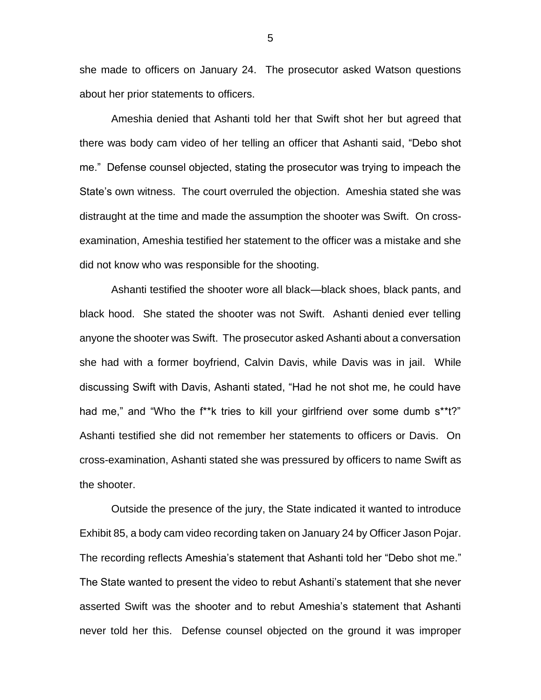she made to officers on January 24. The prosecutor asked Watson questions about her prior statements to officers.

Ameshia denied that Ashanti told her that Swift shot her but agreed that there was body cam video of her telling an officer that Ashanti said, "Debo shot me." Defense counsel objected, stating the prosecutor was trying to impeach the State's own witness. The court overruled the objection. Ameshia stated she was distraught at the time and made the assumption the shooter was Swift. On crossexamination, Ameshia testified her statement to the officer was a mistake and she did not know who was responsible for the shooting.

Ashanti testified the shooter wore all black—black shoes, black pants, and black hood. She stated the shooter was not Swift. Ashanti denied ever telling anyone the shooter was Swift. The prosecutor asked Ashanti about a conversation she had with a former boyfriend, Calvin Davis, while Davis was in jail. While discussing Swift with Davis, Ashanti stated, "Had he not shot me, he could have had me," and "Who the f<sup>\*\*</sup>k tries to kill your girlfriend over some dumb s\*\*t?" Ashanti testified she did not remember her statements to officers or Davis. On cross-examination, Ashanti stated she was pressured by officers to name Swift as the shooter.

Outside the presence of the jury, the State indicated it wanted to introduce Exhibit 85, a body cam video recording taken on January 24 by Officer Jason Pojar. The recording reflects Ameshia's statement that Ashanti told her "Debo shot me." The State wanted to present the video to rebut Ashanti's statement that she never asserted Swift was the shooter and to rebut Ameshia's statement that Ashanti never told her this. Defense counsel objected on the ground it was improper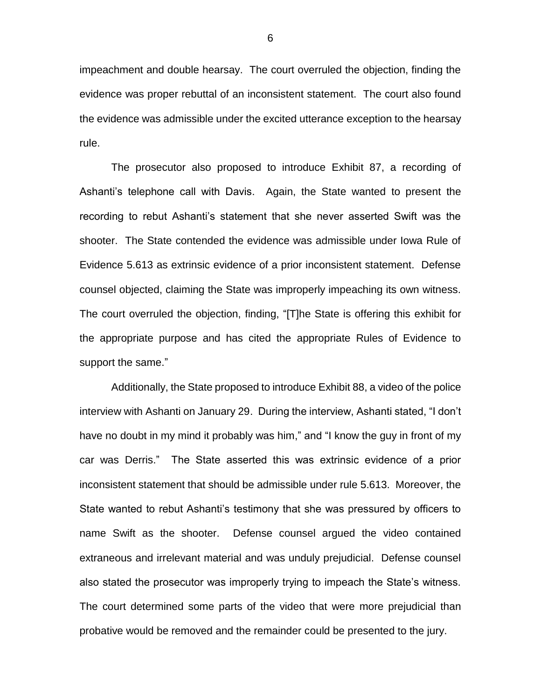impeachment and double hearsay. The court overruled the objection, finding the evidence was proper rebuttal of an inconsistent statement. The court also found the evidence was admissible under the excited utterance exception to the hearsay rule.

The prosecutor also proposed to introduce Exhibit 87, a recording of Ashanti's telephone call with Davis. Again, the State wanted to present the recording to rebut Ashanti's statement that she never asserted Swift was the shooter. The State contended the evidence was admissible under Iowa Rule of Evidence 5.613 as extrinsic evidence of a prior inconsistent statement. Defense counsel objected, claiming the State was improperly impeaching its own witness. The court overruled the objection, finding, "[T]he State is offering this exhibit for the appropriate purpose and has cited the appropriate Rules of Evidence to support the same."

Additionally, the State proposed to introduce Exhibit 88, a video of the police interview with Ashanti on January 29. During the interview, Ashanti stated, "I don't have no doubt in my mind it probably was him," and "I know the guy in front of my car was Derris." The State asserted this was extrinsic evidence of a prior inconsistent statement that should be admissible under rule 5.613. Moreover, the State wanted to rebut Ashanti's testimony that she was pressured by officers to name Swift as the shooter. Defense counsel argued the video contained extraneous and irrelevant material and was unduly prejudicial. Defense counsel also stated the prosecutor was improperly trying to impeach the State's witness. The court determined some parts of the video that were more prejudicial than probative would be removed and the remainder could be presented to the jury.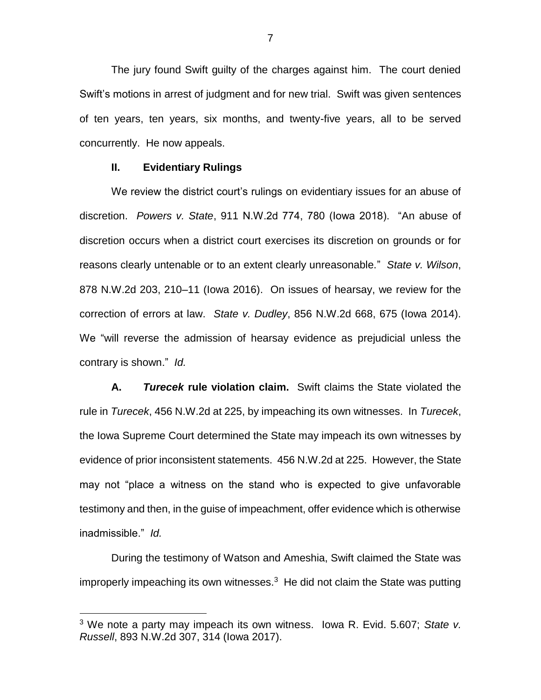The jury found Swift guilty of the charges against him. The court denied Swift's motions in arrest of judgment and for new trial. Swift was given sentences of ten years, ten years, six months, and twenty-five years, all to be served concurrently. He now appeals.

#### **II. Evidentiary Rulings**

 $\overline{a}$ 

We review the district court's rulings on evidentiary issues for an abuse of discretion. *Powers v. State*, 911 N.W.2d 774, 780 (Iowa 2018). "An abuse of discretion occurs when a district court exercises its discretion on grounds or for reasons clearly untenable or to an extent clearly unreasonable." *State v. Wilson*, 878 N.W.2d 203, 210–11 (Iowa 2016). On issues of hearsay, we review for the correction of errors at law. *State v. Dudley*, 856 N.W.2d 668, 675 (Iowa 2014). We "will reverse the admission of hearsay evidence as prejudicial unless the contrary is shown." *Id.*

**A.** *Turecek* **rule violation claim.** Swift claims the State violated the rule in *Turecek*, 456 N.W.2d at 225, by impeaching its own witnesses. In *Turecek*, the Iowa Supreme Court determined the State may impeach its own witnesses by evidence of prior inconsistent statements. 456 N.W.2d at 225. However, the State may not "place a witness on the stand who is expected to give unfavorable testimony and then, in the guise of impeachment, offer evidence which is otherwise inadmissible." *Id.*

During the testimony of Watson and Ameshia, Swift claimed the State was improperly impeaching its own witnesses. $3$  He did not claim the State was putting

<sup>3</sup> We note a party may impeach its own witness. Iowa R. Evid. 5.607; *State v. Russell*, 893 N.W.2d 307, 314 (Iowa 2017).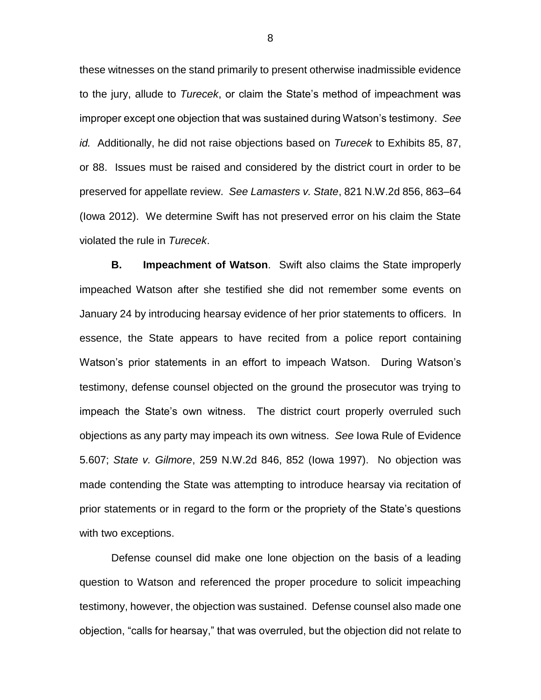these witnesses on the stand primarily to present otherwise inadmissible evidence to the jury, allude to *Turecek*, or claim the State's method of impeachment was improper except one objection that was sustained during Watson's testimony. *See id.* Additionally, he did not raise objections based on *Turecek* to Exhibits 85, 87, or 88. Issues must be raised and considered by the district court in order to be preserved for appellate review. *See Lamasters v. State*, 821 N.W.2d 856, 863–64 (Iowa 2012). We determine Swift has not preserved error on his claim the State violated the rule in *Turecek*.

**B. Impeachment of Watson**. Swift also claims the State improperly impeached Watson after she testified she did not remember some events on January 24 by introducing hearsay evidence of her prior statements to officers. In essence, the State appears to have recited from a police report containing Watson's prior statements in an effort to impeach Watson. During Watson's testimony, defense counsel objected on the ground the prosecutor was trying to impeach the State's own witness. The district court properly overruled such objections as any party may impeach its own witness. *See* Iowa Rule of Evidence 5.607; *State v. Gilmore*, 259 N.W.2d 846, 852 (Iowa 1997). No objection was made contending the State was attempting to introduce hearsay via recitation of prior statements or in regard to the form or the propriety of the State's questions with two exceptions.

Defense counsel did make one lone objection on the basis of a leading question to Watson and referenced the proper procedure to solicit impeaching testimony, however, the objection was sustained. Defense counsel also made one objection, "calls for hearsay," that was overruled, but the objection did not relate to

8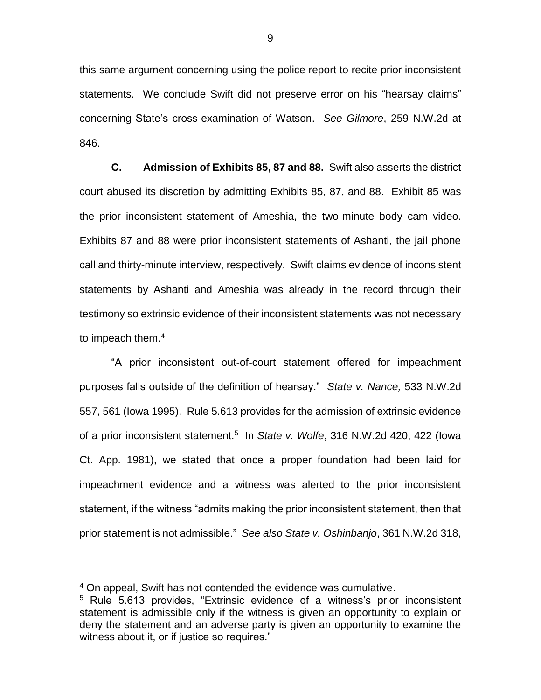this same argument concerning using the police report to recite prior inconsistent statements. We conclude Swift did not preserve error on his "hearsay claims" concerning State's cross-examination of Watson. *See Gilmore*, 259 N.W.2d at 846.

**C. Admission of Exhibits 85, 87 and 88.** Swift also asserts the district court abused its discretion by admitting Exhibits 85, 87, and 88. Exhibit 85 was the prior inconsistent statement of Ameshia, the two-minute body cam video. Exhibits 87 and 88 were prior inconsistent statements of Ashanti, the jail phone call and thirty-minute interview, respectively. Swift claims evidence of inconsistent statements by Ashanti and Ameshia was already in the record through their testimony so extrinsic evidence of their inconsistent statements was not necessary to impeach them.<sup>4</sup>

"A prior inconsistent out-of-court statement offered for impeachment purposes falls outside of the definition of hearsay." *State v. Nance,* 533 N.W.2d 557, 561 (Iowa 1995). Rule 5.613 provides for the admission of extrinsic evidence of a prior inconsistent statement.<sup>5</sup> In State v. Wolfe, 316 N.W.2d 420, 422 (lowa Ct. App. 1981), we stated that once a proper foundation had been laid for impeachment evidence and a witness was alerted to the prior inconsistent statement, if the witness "admits making the prior inconsistent statement, then that prior statement is not admissible." *See also State v. Oshinbanjo*, 361 N.W.2d 318,

 $\overline{a}$ 

<sup>4</sup> On appeal, Swift has not contended the evidence was cumulative.

<sup>&</sup>lt;sup>5</sup> Rule 5.613 provides, "Extrinsic evidence of a witness's prior inconsistent statement is admissible only if the witness is given an opportunity to explain or deny the statement and an adverse party is given an opportunity to examine the witness about it, or if justice so requires."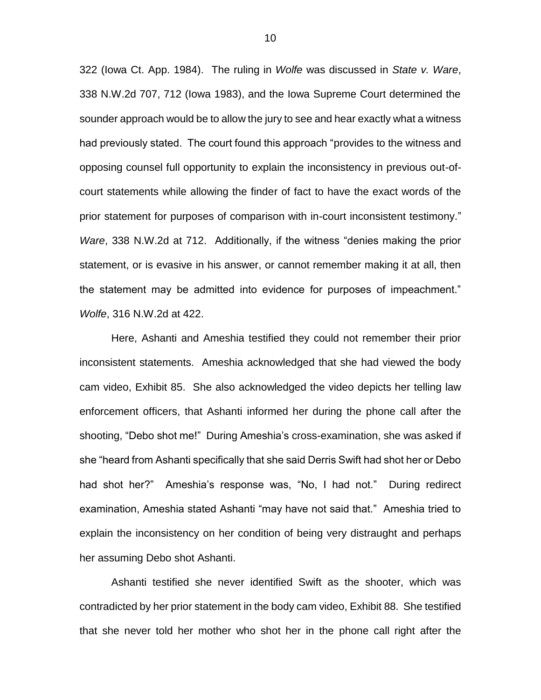322 (Iowa Ct. App. 1984). The ruling in *Wolfe* was discussed in *State v. Ware*, 338 N.W.2d 707, 712 (Iowa 1983), and the Iowa Supreme Court determined the sounder approach would be to allow the jury to see and hear exactly what a witness had previously stated. The court found this approach "provides to the witness and opposing counsel full opportunity to explain the inconsistency in previous out-ofcourt statements while allowing the finder of fact to have the exact words of the prior statement for purposes of comparison with in-court inconsistent testimony." *Ware*, 338 N.W.2d at 712. Additionally, if the witness "denies making the prior statement, or is evasive in his answer, or cannot remember making it at all, then the statement may be admitted into evidence for purposes of impeachment." *Wolfe*, 316 N.W.2d at 422.

Here, Ashanti and Ameshia testified they could not remember their prior inconsistent statements. Ameshia acknowledged that she had viewed the body cam video, Exhibit 85. She also acknowledged the video depicts her telling law enforcement officers, that Ashanti informed her during the phone call after the shooting, "Debo shot me!" During Ameshia's cross-examination, she was asked if she "heard from Ashanti specifically that she said Derris Swift had shot her or Debo had shot her?" Ameshia's response was, "No, I had not." During redirect examination, Ameshia stated Ashanti "may have not said that." Ameshia tried to explain the inconsistency on her condition of being very distraught and perhaps her assuming Debo shot Ashanti.

Ashanti testified she never identified Swift as the shooter, which was contradicted by her prior statement in the body cam video, Exhibit 88. She testified that she never told her mother who shot her in the phone call right after the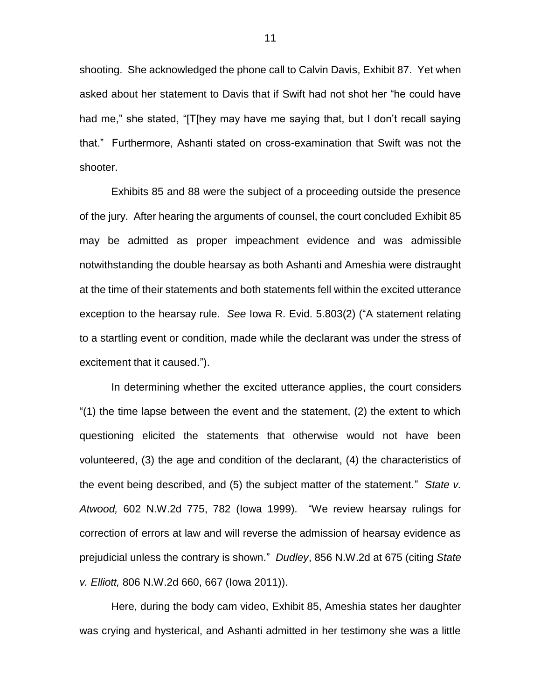shooting. She acknowledged the phone call to Calvin Davis, Exhibit 87. Yet when asked about her statement to Davis that if Swift had not shot her "he could have had me," she stated, "[T[hey may have me saying that, but I don't recall saying that." Furthermore, Ashanti stated on cross-examination that Swift was not the shooter.

Exhibits 85 and 88 were the subject of a proceeding outside the presence of the jury. After hearing the arguments of counsel, the court concluded Exhibit 85 may be admitted as proper impeachment evidence and was admissible notwithstanding the double hearsay as both Ashanti and Ameshia were distraught at the time of their statements and both statements fell within the excited utterance exception to the hearsay rule. *See* Iowa R. Evid. 5.803(2) ("A statement relating to a startling event or condition, made while the declarant was under the stress of excitement that it caused.").

In determining whether the excited utterance applies, the court considers "(1) the time lapse between the event and the statement, (2) the extent to which questioning elicited the statements that otherwise would not have been volunteered, (3) the age and condition of the declarant, (4) the characteristics of the event being described, and (5) the subject matter of the statement." *State v. Atwood,* 602 N.W.2d 775, 782 (Iowa 1999). "We review hearsay rulings for correction of errors at law and will reverse the admission of hearsay evidence as prejudicial unless the contrary is shown." *Dudley*, 856 N.W.2d at 675 (citing *State v. Elliott,* 806 N.W.2d 660, 667 (Iowa 2011)).

Here, during the body cam video, Exhibit 85, Ameshia states her daughter was crying and hysterical, and Ashanti admitted in her testimony she was a little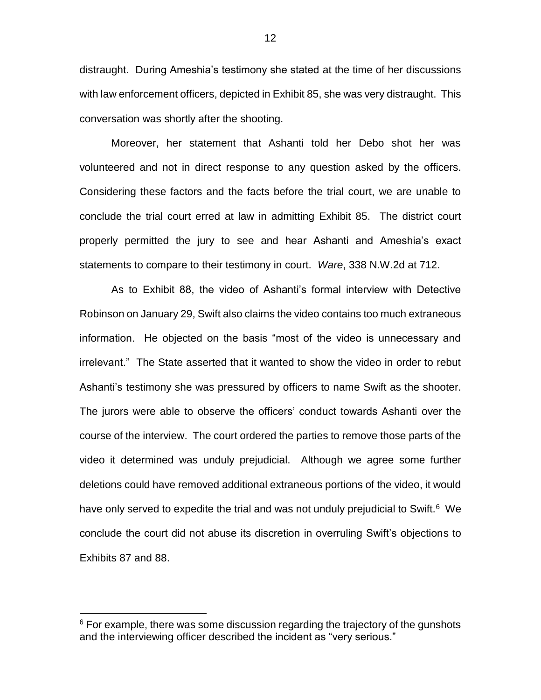distraught. During Ameshia's testimony she stated at the time of her discussions with law enforcement officers, depicted in Exhibit 85, she was very distraught. This conversation was shortly after the shooting.

Moreover, her statement that Ashanti told her Debo shot her was volunteered and not in direct response to any question asked by the officers. Considering these factors and the facts before the trial court, we are unable to conclude the trial court erred at law in admitting Exhibit 85. The district court properly permitted the jury to see and hear Ashanti and Ameshia's exact statements to compare to their testimony in court. *Ware*, 338 N.W.2d at 712.

As to Exhibit 88, the video of Ashanti's formal interview with Detective Robinson on January 29, Swift also claims the video contains too much extraneous information. He objected on the basis "most of the video is unnecessary and irrelevant." The State asserted that it wanted to show the video in order to rebut Ashanti's testimony she was pressured by officers to name Swift as the shooter. The jurors were able to observe the officers' conduct towards Ashanti over the course of the interview. The court ordered the parties to remove those parts of the video it determined was unduly prejudicial. Although we agree some further deletions could have removed additional extraneous portions of the video, it would have only served to expedite the trial and was not unduly prejudicial to Swift.<sup>6</sup> We conclude the court did not abuse its discretion in overruling Swift's objections to Exhibits 87 and 88.

 $\overline{a}$ 

 $6$  For example, there was some discussion regarding the trajectory of the gunshots and the interviewing officer described the incident as "very serious."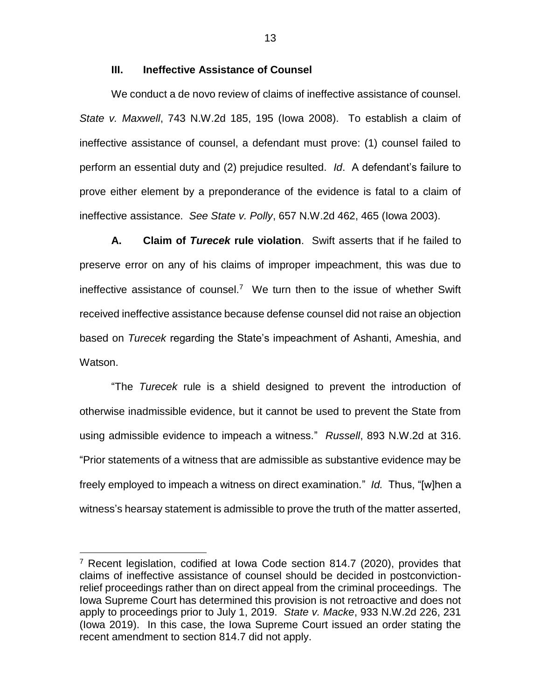## **III. Ineffective Assistance of Counsel**

We conduct a de novo review of claims of ineffective assistance of counsel. *State v. Maxwell*, 743 N.W.2d 185, 195 (Iowa 2008). To establish a claim of ineffective assistance of counsel, a defendant must prove: (1) counsel failed to perform an essential duty and (2) prejudice resulted. *Id*. A defendant's failure to prove either element by a preponderance of the evidence is fatal to a claim of ineffective assistance. *See State v. Polly*, 657 N.W.2d 462, 465 (Iowa 2003).

**A. Claim of** *Turecek* **rule violation**. Swift asserts that if he failed to preserve error on any of his claims of improper impeachment, this was due to ineffective assistance of counsel.<sup>7</sup> We turn then to the issue of whether Swift received ineffective assistance because defense counsel did not raise an objection based on *Turecek* regarding the State's impeachment of Ashanti, Ameshia, and Watson.

"The *Turecek* rule is a shield designed to prevent the introduction of otherwise inadmissible evidence, but it cannot be used to prevent the State from using admissible evidence to impeach a witness." *Russell*, 893 N.W.2d at 316. "Prior statements of a witness that are admissible as substantive evidence may be freely employed to impeach a witness on direct examination." *Id.* Thus, "[w]hen a witness's hearsay statement is admissible to prove the truth of the matter asserted,

 $\overline{a}$ 

13

 $7$  Recent legislation, codified at Iowa Code section 814.7 (2020), provides that claims of ineffective assistance of counsel should be decided in postconvictionrelief proceedings rather than on direct appeal from the criminal proceedings. The Iowa Supreme Court has determined this provision is not retroactive and does not apply to proceedings prior to July 1, 2019. *State v. Macke*, 933 N.W.2d 226, 231 (Iowa 2019). In this case, the Iowa Supreme Court issued an order stating the recent amendment to section 814.7 did not apply.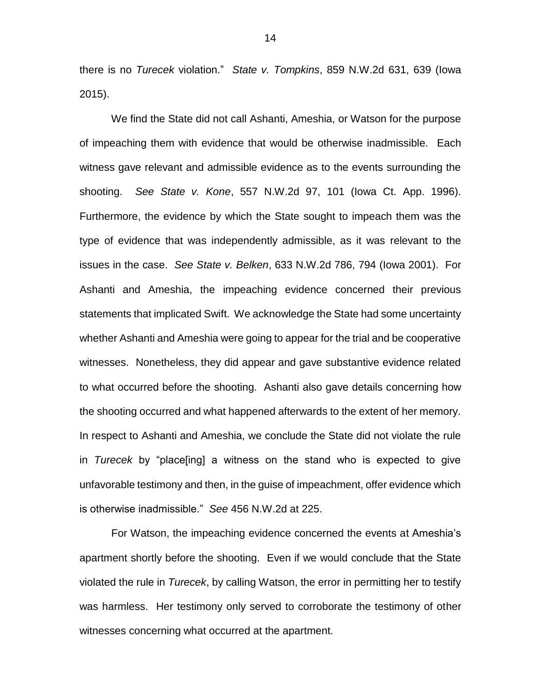there is no *Turecek* violation." *State v. Tompkins*, 859 N.W.2d 631, 639 (Iowa 2015).

We find the State did not call Ashanti, Ameshia, or Watson for the purpose of impeaching them with evidence that would be otherwise inadmissible. Each witness gave relevant and admissible evidence as to the events surrounding the shooting. *See State v. Kone*, 557 N.W.2d 97, 101 (Iowa Ct. App. 1996). Furthermore, the evidence by which the State sought to impeach them was the type of evidence that was independently admissible, as it was relevant to the issues in the case. *See State v. Belken*, 633 N.W.2d 786, 794 (Iowa 2001). For Ashanti and Ameshia, the impeaching evidence concerned their previous statements that implicated Swift. We acknowledge the State had some uncertainty whether Ashanti and Ameshia were going to appear for the trial and be cooperative witnesses. Nonetheless, they did appear and gave substantive evidence related to what occurred before the shooting. Ashanti also gave details concerning how the shooting occurred and what happened afterwards to the extent of her memory. In respect to Ashanti and Ameshia, we conclude the State did not violate the rule in *Turecek* by "place[ing] a witness on the stand who is expected to give unfavorable testimony and then, in the guise of impeachment, offer evidence which is otherwise inadmissible." *See* 456 N.W.2d at 225.

For Watson, the impeaching evidence concerned the events at Ameshia's apartment shortly before the shooting. Even if we would conclude that the State violated the rule in *Turecek*, by calling Watson, the error in permitting her to testify was harmless. Her testimony only served to corroborate the testimony of other witnesses concerning what occurred at the apartment.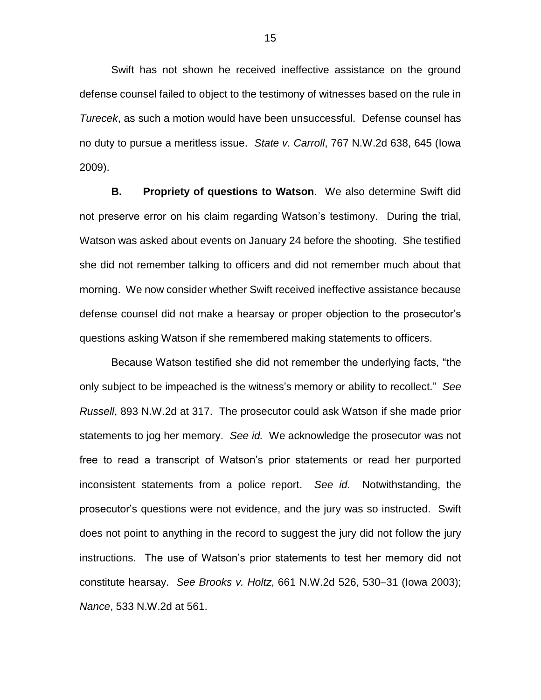Swift has not shown he received ineffective assistance on the ground defense counsel failed to object to the testimony of witnesses based on the rule in *Turecek*, as such a motion would have been unsuccessful. Defense counsel has no duty to pursue a meritless issue. *State v. Carroll*, 767 N.W.2d 638, 645 (Iowa 2009).

**B. Propriety of questions to Watson**. We also determine Swift did not preserve error on his claim regarding Watson's testimony. During the trial, Watson was asked about events on January 24 before the shooting. She testified she did not remember talking to officers and did not remember much about that morning. We now consider whether Swift received ineffective assistance because defense counsel did not make a hearsay or proper objection to the prosecutor's questions asking Watson if she remembered making statements to officers.

Because Watson testified she did not remember the underlying facts, "the only subject to be impeached is the witness's memory or ability to recollect." *See Russell*, 893 N.W.2d at 317. The prosecutor could ask Watson if she made prior statements to jog her memory. *See id.* We acknowledge the prosecutor was not free to read a transcript of Watson's prior statements or read her purported inconsistent statements from a police report. *See id*. Notwithstanding, the prosecutor's questions were not evidence, and the jury was so instructed. Swift does not point to anything in the record to suggest the jury did not follow the jury instructions. The use of Watson's prior statements to test her memory did not constitute hearsay. *See Brooks v. Holtz*, 661 N.W.2d 526, 530–31 (Iowa 2003); *Nance*, 533 N.W.2d at 561.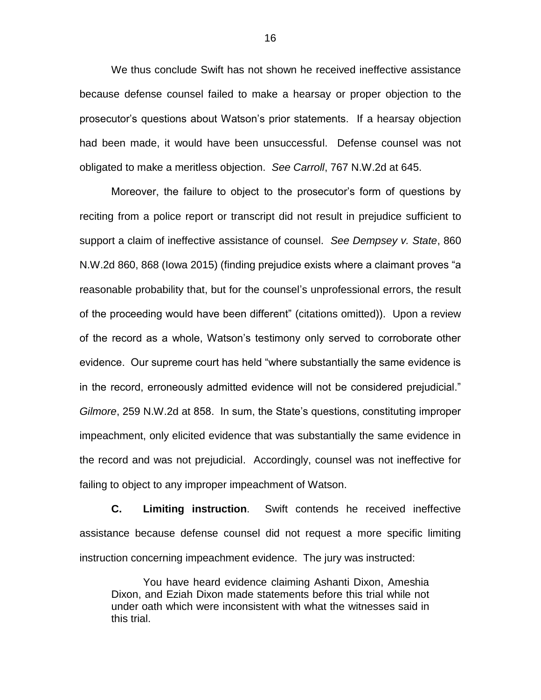We thus conclude Swift has not shown he received ineffective assistance because defense counsel failed to make a hearsay or proper objection to the prosecutor's questions about Watson's prior statements. If a hearsay objection had been made, it would have been unsuccessful. Defense counsel was not obligated to make a meritless objection. *See Carroll*, 767 N.W.2d at 645.

Moreover, the failure to object to the prosecutor's form of questions by reciting from a police report or transcript did not result in prejudice sufficient to support a claim of ineffective assistance of counsel. *See Dempsey v. State*, 860 N.W.2d 860, 868 (Iowa 2015) (finding prejudice exists where a claimant proves "a reasonable probability that, but for the counsel's unprofessional errors, the result of the proceeding would have been different" (citations omitted)). Upon a review of the record as a whole, Watson's testimony only served to corroborate other evidence. Our supreme court has held "where substantially the same evidence is in the record, erroneously admitted evidence will not be considered prejudicial." *Gilmore*, 259 N.W.2d at 858. In sum, the State's questions, constituting improper impeachment, only elicited evidence that was substantially the same evidence in the record and was not prejudicial. Accordingly, counsel was not ineffective for failing to object to any improper impeachment of Watson.

**C. Limiting instruction**. Swift contends he received ineffective assistance because defense counsel did not request a more specific limiting instruction concerning impeachment evidence. The jury was instructed:

You have heard evidence claiming Ashanti Dixon, Ameshia Dixon, and Eziah Dixon made statements before this trial while not under oath which were inconsistent with what the witnesses said in this trial.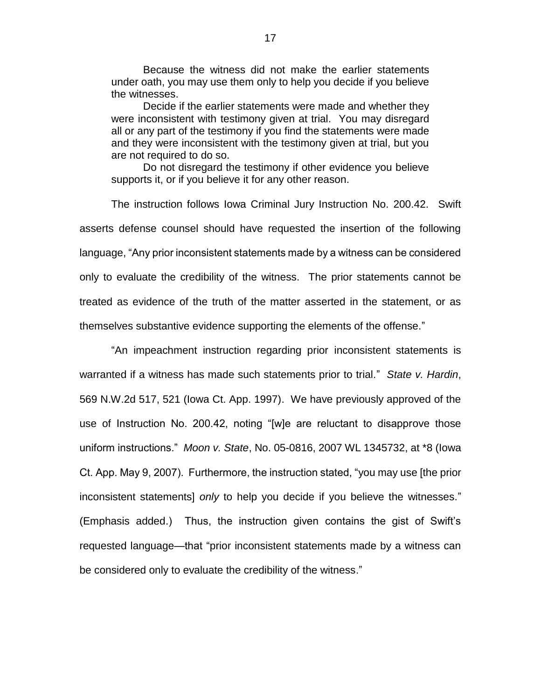Because the witness did not make the earlier statements under oath, you may use them only to help you decide if you believe the witnesses.

Decide if the earlier statements were made and whether they were inconsistent with testimony given at trial. You may disregard all or any part of the testimony if you find the statements were made and they were inconsistent with the testimony given at trial, but you are not required to do so.

Do not disregard the testimony if other evidence you believe supports it, or if you believe it for any other reason.

The instruction follows Iowa Criminal Jury Instruction No. 200.42. Swift asserts defense counsel should have requested the insertion of the following language, "Any prior inconsistent statements made by a witness can be considered only to evaluate the credibility of the witness. The prior statements cannot be treated as evidence of the truth of the matter asserted in the statement, or as themselves substantive evidence supporting the elements of the offense."

"An impeachment instruction regarding prior inconsistent statements is warranted if a witness has made such statements prior to trial." *State v. Hardin*, 569 N.W.2d 517, 521 (Iowa Ct. App. 1997). We have previously approved of the use of Instruction No. 200.42, noting "[w]e are reluctant to disapprove those uniform instructions." *Moon v. State*, No. 05-0816, 2007 WL 1345732, at \*8 (Iowa Ct. App. May 9, 2007). Furthermore, the instruction stated, "you may use [the prior inconsistent statements] *only* to help you decide if you believe the witnesses." (Emphasis added.) Thus, the instruction given contains the gist of Swift's requested language—that "prior inconsistent statements made by a witness can be considered only to evaluate the credibility of the witness."